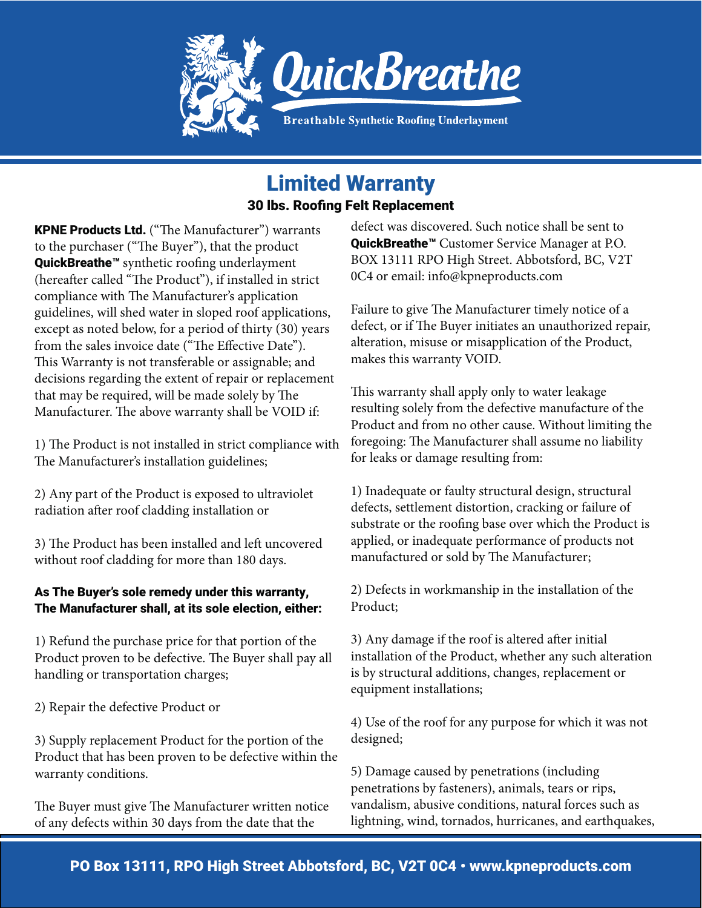

# Limited Warranty

30 lbs. Roofing Felt Replacement

KPNE Products Ltd. ("The Manufacturer") warrants to the purchaser ("The Buyer"), that the product QuickBreathe<sup>™</sup> synthetic roofing underlayment (hereafter called "The Product"), if installed in strict compliance with The Manufacturer's application guidelines, will shed water in sloped roof applications, except as noted below, for a period of thirty (30) years from the sales invoice date ("The Effective Date"). This Warranty is not transferable or assignable; and decisions regarding the extent of repair or replacement that may be required, will be made solely by The Manufacturer. The above warranty shall be VOID if:

1) The Product is not installed in strict compliance with The Manufacturer's installation guidelines;

2) Any part of the Product is exposed to ultraviolet radiation after roof cladding installation or

3) The Product has been installed and left uncovered without roof cladding for more than 180 days.

### As The Buyer's sole remedy under this warranty, The Manufacturer shall, at its sole election, either:

1) Refund the purchase price for that portion of the Product proven to be defective. The Buyer shall pay all handling or transportation charges;

2) Repair the defective Product or

3) Supply replacement Product for the portion of the Product that has been proven to be defective within the warranty conditions.

The Buyer must give The Manufacturer written notice of any defects within 30 days from the date that the

defect was discovered. Such notice shall be sent to QuickBreathe<sup>™</sup> Customer Service Manager at P.O. BOX 13111 RPO High Street. Abbotsford, BC, V2T 0C4 or email: info@kpneproducts.com

Failure to give The Manufacturer timely notice of a defect, or if The Buyer initiates an unauthorized repair, alteration, misuse or misapplication of the Product, makes this warranty VOID.

This warranty shall apply only to water leakage resulting solely from the defective manufacture of the Product and from no other cause. Without limiting the foregoing: The Manufacturer shall assume no liability for leaks or damage resulting from:

1) Inadequate or faulty structural design, structural defects, settlement distortion, cracking or failure of substrate or the roofing base over which the Product is applied, or inadequate performance of products not manufactured or sold by The Manufacturer;

2) Defects in workmanship in the installation of the Product;

3) Any damage if the roof is altered after initial installation of the Product, whether any such alteration is by structural additions, changes, replacement or equipment installations;

4) Use of the roof for any purpose for which it was not designed;

5) Damage caused by penetrations (including penetrations by fasteners), animals, tears or rips, vandalism, abusive conditions, natural forces such as lightning, wind, tornados, hurricanes, and earthquakes,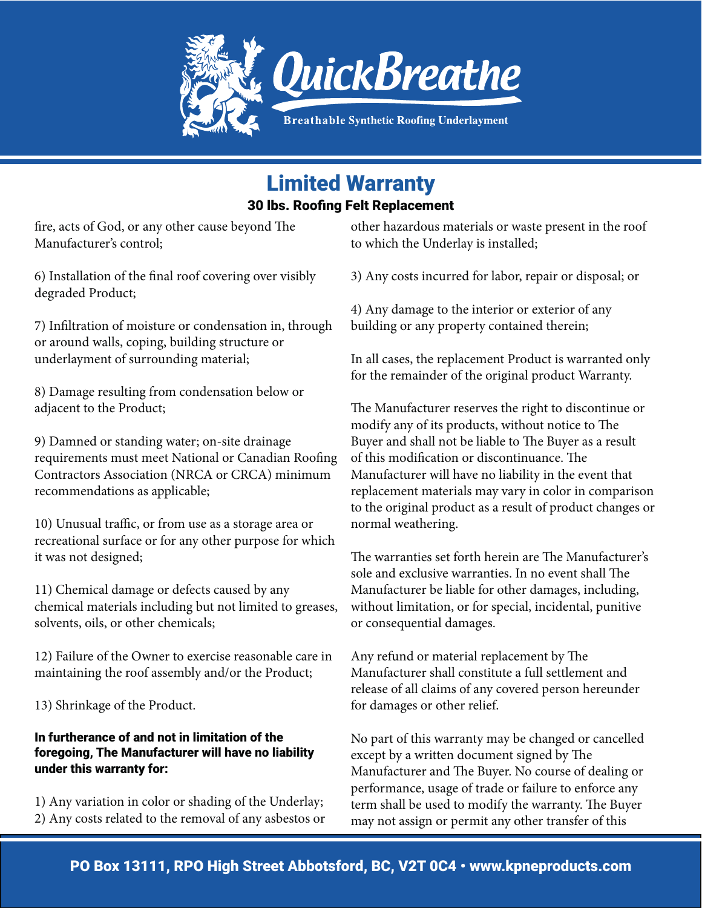

# Limited Warranty

### 30 lbs. Roofing Felt Replacement

fire, acts of God, or any other cause beyond The Manufacturer's control;

6) Installation of the final roof covering over visibly degraded Product;

7) Infiltration of moisture or condensation in, through or around walls, coping, building structure or underlayment of surrounding material;

8) Damage resulting from condensation below or adjacent to the Product;

9) Damned or standing water; on-site drainage requirements must meet National or Canadian Roofing Contractors Association (NRCA or CRCA) minimum recommendations as applicable;

10) Unusual traffic, or from use as a storage area or recreational surface or for any other purpose for which it was not designed;

11) Chemical damage or defects caused by any chemical materials including but not limited to greases, solvents, oils, or other chemicals;

12) Failure of the Owner to exercise reasonable care in maintaining the roof assembly and/or the Product;

13) Shrinkage of the Product.

#### In furtherance of and not in limitation of the foregoing, The Manufacturer will have no liability under this warranty for:

1) Any variation in color or shading of the Underlay; 2) Any costs related to the removal of any asbestos or other hazardous materials or waste present in the roof to which the Underlay is installed;

3) Any costs incurred for labor, repair or disposal; or

4) Any damage to the interior or exterior of any building or any property contained therein;

In all cases, the replacement Product is warranted only for the remainder of the original product Warranty.

The Manufacturer reserves the right to discontinue or modify any of its products, without notice to The Buyer and shall not be liable to The Buyer as a result of this modification or discontinuance. The Manufacturer will have no liability in the event that replacement materials may vary in color in comparison to the original product as a result of product changes or normal weathering.

The warranties set forth herein are The Manufacturer's sole and exclusive warranties. In no event shall The Manufacturer be liable for other damages, including, without limitation, or for special, incidental, punitive or consequential damages.

Any refund or material replacement by The Manufacturer shall constitute a full settlement and release of all claims of any covered person hereunder for damages or other relief.

No part of this warranty may be changed or cancelled except by a written document signed by The Manufacturer and The Buyer. No course of dealing or performance, usage of trade or failure to enforce any term shall be used to modify the warranty. The Buyer may not assign or permit any other transfer of this